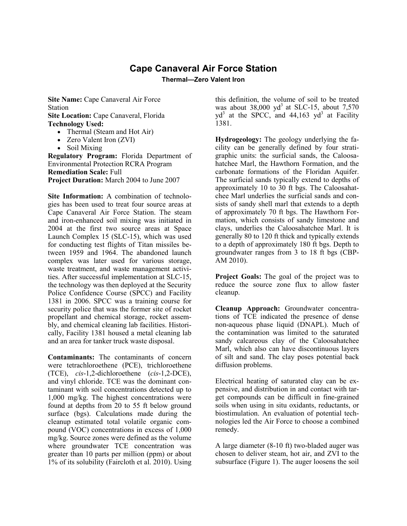## **Cape Canaveral Air Force Station**

**Thermal—Zero Valent Iron**

**Site Name:** Cape Canaveral Air Force Station **Site Location:** Cape Canaveral, Florida **Technology Used:**

- Thermal (Steam and Hot Air)
- Zero Valent Iron (ZVI)
- Soil Mixing

**Regulatory Program:** Florida Department of Environmental Protection RCRA Program **Remediation Scale:** Full **Project Duration:** March 2004 to June 2007

**Site Information:** A combination of technologies has been used to treat four source areas at Cape Canaveral Air Force Station. The steam and iron-enhanced soil mixing was initiated in 2004 at the first two source areas at Space Launch Complex 15 (SLC-15), which was used for conducting test flights of Titan missiles between 1959 and 1964. The abandoned launch complex was later used for various storage, waste treatment, and waste management activities. After successful implementation at SLC-15, the technology was then deployed at the Security Police Confidence Course (SPCC) and Facility 1381 in 2006. SPCC was a training course for security police that was the former site of rocket propellant and chemical storage, rocket assembly, and chemical cleaning lab facilities. Historically, Facility 1381 housed a metal cleaning lab and an area for tanker truck waste disposal.

**Contaminants:** The contaminants of concern were tetrachloroethene (PCE), trichloroethene (TCE), *cis*-1,2-dichloroethene (*cis*-1,2-DCE), and vinyl chloride. TCE was the dominant contaminant with soil concentrations detected up to 1,000 mg/kg. The highest concentrations were found at depths from 20 to 55 ft below ground surface (bgs). Calculations made during the cleanup estimated total volatile organic compound (VOC) concentrations in excess of 1,000 mg/kg. Source zones were defined as the volume where groundwater TCE concentration was greater than 10 parts per million (ppm) or about 1% of its solubility (Faircloth et al. 2010). Using this definition, the volume of soil to be treated was about  $38,000$  yd<sup>3</sup> at SLC-15, about  $7,570$  $vd^3$  at the SPCC, and 44,163  $vd^3$  at Facility 1381.

**Hydrogeology:** The geology underlying the facility can be generally defined by four stratigraphic units: the surficial sands, the Caloosahatchee Marl, the Hawthorn Formation, and the carbonate formations of the Floridan Aquifer. The surficial sands typically extend to depths of approximately 10 to 30 ft bgs. The Caloosahatchee Marl underlies the surficial sands and consists of sandy shell marl that extends to a depth of approximately 70 ft bgs. The Hawthorn Formation, which consists of sandy limestone and clays, underlies the Caloosahatchee Marl. It is generally 80 to 120 ft thick and typically extends to a depth of approximately 180 ft bgs. Depth to groundwater ranges from 3 to 18 ft bgs (CBP-AM 2010).

**Project Goals:** The goal of the project was to reduce the source zone flux to allow faster cleanup.

**Cleanup Approach:** Groundwater concentrations of TCE indicated the presence of dense non-aqueous phase liquid (DNAPL). Much of the contamination was limited to the saturated sandy calcareous clay of the Caloosahatchee Marl, which also can have discontinuous layers of silt and sand. The clay poses potential back diffusion problems.

Electrical heating of saturated clay can be expensive, and distribution in and contact with target compounds can be difficult in fine-grained soils when using in situ oxidants, reductants, or biostimulation. An evaluation of potential technologies led the Air Force to choose a combined remedy.

A large diameter (8-10 ft) two-bladed auger was chosen to deliver steam, hot air, and ZVI to the subsurface (Figure 1). The auger loosens the soil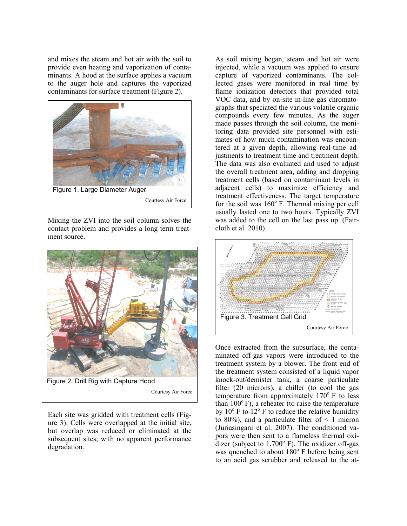and mixes the steam and hot air with the soil to provide even heating and vaporization of contaminants. A hood at the surface applies a vacuum to the auger hole and captures the vaporized contaminants for surface treatment (Figure 2).



Mixing the ZVI into the soil column solves the contact problem and provides a long term treatment source.



Courtesy Air Force

Each site was gridded with treatment cells (Figure 3). Cells were overlapped at the initial site, but overlap was reduced or eliminated at the subsequent sites, with no apparent performance degradation.

As soil mixing began, steam and hot air were injected, while a vacuum was applied to ensure capture of vaporized contaminants. The collected gases were monitored in real time by flame ionization detectors that provided total VOC data, and by on-site in-line gas chromatographs that speciated the various volatile organic compounds every few minutes. As the auger made passes through the soil column, the monitoring data provided site personnel with estimates of how much contamination was encountered at a given depth, allowing real-time adjustments to treatment time and treatment depth. The data was also evaluated and used to adjust the overall treatment area, adding and dropping treatment cells (based on contaminant levels in adjacent cells) to maximize efficiency and treatment effectiveness. The target temperature for the soil was  $160^{\circ}$  F. Thermal mixing per cell usually lasted one to two hours. Typically ZVI was added to the cell on the last pass up. (Faircloth et al. 2010).



Once extracted from the subsurface, the contaminated off-gas vapors were introduced to the treatment system by a blower. The front end of the treatment system consisted of a liquid vapor knock-out/demister tank, a coarse particulate filter (20 microns), a chiller (to cool the gas temperature from approximately  $170^{\circ}$  F to less than  $100^{\circ}$  F), a reheater (to raise the temperature by  $10^{\circ}$  F to  $12^{\circ}$  F to reduce the relative humidity to 80%), and a particulate filter of  $\leq 1$  micron (Juriasingani et al. 2007). The conditioned va pors were then sent to a flameless thermal oxidizer (subject to  $1,700^{\circ}$  F). The oxidizer off-gas was quenched to about  $180^\circ$  F before being sent to an acid gas scrubber and released to the at